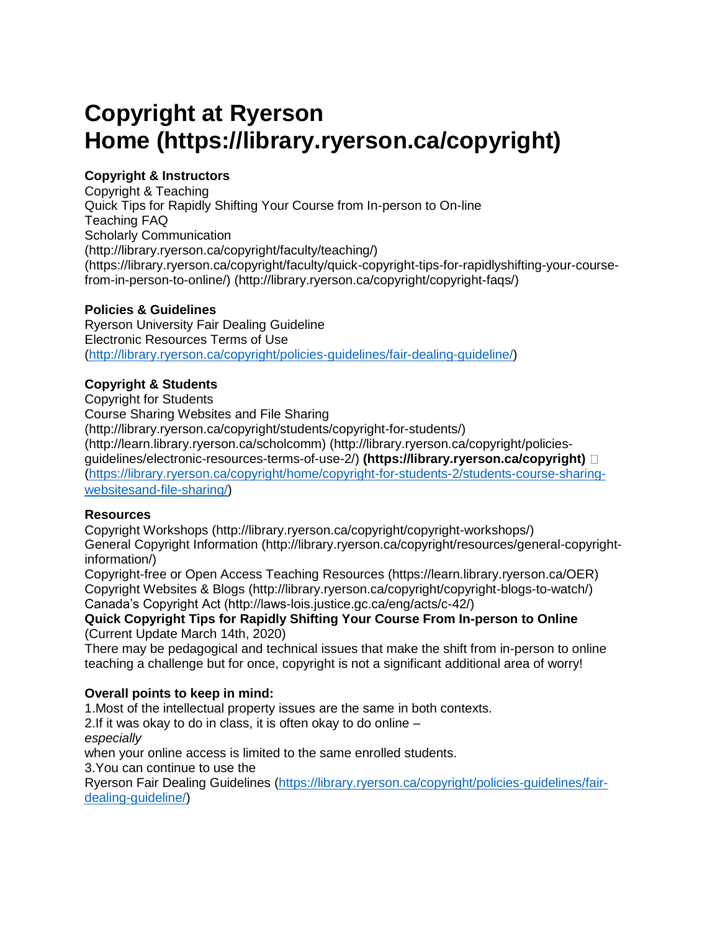# **Copyright at Ryerson Home (https://library.ryerson.ca/copyright)**

# **Copyright & Instructors**

Copyright & Teaching Quick Tips for Rapidly Shifting Your Course from In-person to On-line Teaching FAQ Scholarly Communication (http://library.ryerson.ca/copyright/faculty/teaching/) (https://library.ryerson.ca/copyright/faculty/quick-copyright-tips-for-rapidlyshifting-your-coursefrom-in-person-to-online/) (http://library.ryerson.ca/copyright/copyright-faqs/)

## **Policies & Guidelines**

Ryerson University Fair Dealing Guideline Electronic Resources Terms of Use [\(http://library.ryerson.ca/copyright/policies-guidelines/fair-dealing-guideline/\)](http://library.ryerson.ca/copyright/policies-guidelines/fair-dealing-guideline/)

## **Copyright & Students**

Copyright for Students Course Sharing Websites and File Sharing (http://library.ryerson.ca/copyright/students/copyright-for-students/) (http://learn.library.ryerson.ca/scholcomm) (http://library.ryerson.ca/copyright/policiesguidelines/electronic-resources-terms-of-use-2/) **(https://library.ryerson.ca/copyright)**  [\(https://library.ryerson.ca/copyright/home/copyright-for-students-2/students-course-sharing](https://library.ryerson.ca/copyright/home/copyright-for-students-2/students-course-sharing-websitesand-file-sharing/)[websitesand-file-sharing/\)](https://library.ryerson.ca/copyright/home/copyright-for-students-2/students-course-sharing-websitesand-file-sharing/)

#### **Resources**

Copyright Workshops (http://library.ryerson.ca/copyright/copyright-workshops/) General Copyright Information (http://library.ryerson.ca/copyright/resources/general-copyrightinformation/)

Copyright-free or Open Access Teaching Resources (https://learn.library.ryerson.ca/OER) Copyright Websites & Blogs (http://library.ryerson.ca/copyright/copyright-blogs-to-watch/) Canada's Copyright Act (http://laws-lois.justice.gc.ca/eng/acts/c-42/)

#### **Quick Copyright Tips for Rapidly Shifting Your Course From In-person to Online** (Current Update March 14th, 2020)

There may be pedagogical and technical issues that make the shift from in-person to online teaching a challenge but for once, copyright is not a significant additional area of worry!

# **Overall points to keep in mind:**

1.Most of the intellectual property issues are the same in both contexts.

2.If it was okay to do in class, it is often okay to do online –

*especially*

when your online access is limited to the same enrolled students.

3.You can continue to use the

Ryerson Fair Dealing Guidelines [\(https://library.ryerson.ca/copyright/policies-guidelines/fair](https://library.ryerson.ca/copyright/policies-guidelines/fair-dealing-guideline/)[dealing-guideline/\)](https://library.ryerson.ca/copyright/policies-guidelines/fair-dealing-guideline/)